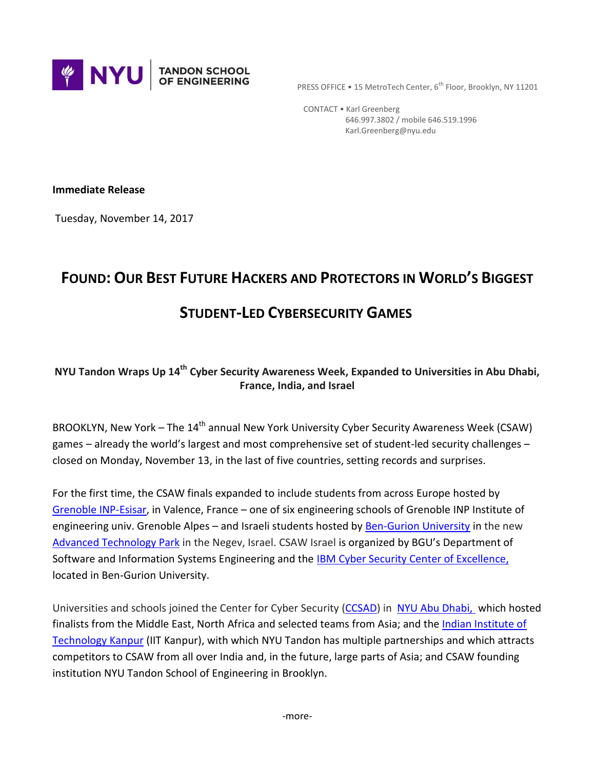

PRESS OFFICE • 15 MetroTech Center, 6<sup>th</sup> Floor, Brooklyn, NY 11201

 CONTACT • Karl Greenberg 646.997.3802 / mobile 646.519.1996 Karl.Greenberg@nyu.edu

**Immediate Release**

Tuesday, November 14, 2017

# **FOUND: OUR BEST FUTURE HACKERS AND PROTECTORS IN WORLD'S BIGGEST**

## **STUDENT-LED CYBERSECURITY GAMES**

## **NYU Tandon Wraps Up 14th Cyber Security Awareness Week, Expanded to Universities in Abu Dhabi, France, India, and Israel**

BROOKLYN, New York – The 14<sup>th</sup> annual New York University Cyber Security Awareness Week (CSAW) games – already the world's largest and most comprehensive set of student-led security challenges – closed on Monday, November 13, in the last of five countries, setting records and surprises.

For the first time, the CSAW finals expanded to include students from across Europe hosted by [Grenoble INP-Esisar,](http://esisar.grenoble-inp.fr/) in Valence, France – one of six engineering schools of Grenoble INP Institute of engineering univ. Grenoble Alpes – and Israeli students hosted by [Ben-Gurion University](http://in.bgu.ac.il/en/Pages/default.aspx) in the new [Advanced Technology Park](http://in.bgu.ac.il/en/bgn/Pages/ATP.aspx) in the Negev, Israel. CSAW Israel is organized by BGU's Department of Software and Information Systems Engineering and the **IBM** Cyber Security Center of Excellence, located in Ben-Gurion University.

Universities and schools joined the Center for Cyber Security [\(CCSAD\)](nyuad.nyu.edu/ccs-ad) in [NYU Abu Dhabi,](http://nyuad.nyu.edu/en/) which hosted finalists from the Middle East, North Africa and selected teams from Asia; and the [Indian Institute of](http://www.iitk.ac.in/)  [Technology Kanpur](http://www.iitk.ac.in/) (IIT Kanpur), with which NYU Tandon has multiple partnerships and which attracts competitors to CSAW from all over India and, in the future, large parts of Asia; and CSAW founding institution NYU Tandon School of Engineering in Brooklyn.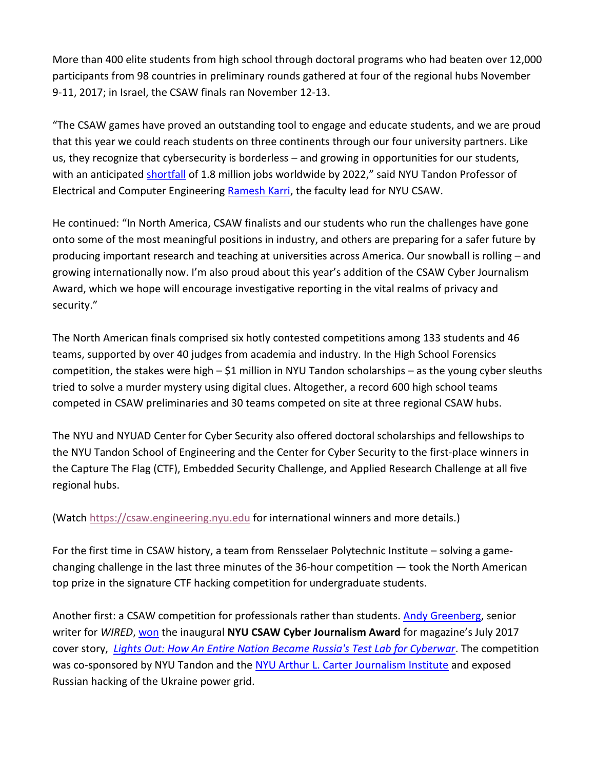More than 400 elite students from high school through doctoral programs who had beaten over 12,000 participants from 98 countries in preliminary rounds gathered at four of the regional hubs November 9-11, 2017; in Israel, the CSAW finals ran November 12-13.

"The CSAW games have proved an outstanding tool to engage and educate students, and we are proud that this year we could reach students on three continents through our four university partners. Like us, they recognize that cybersecurity is borderless – and growing in opportunities for our students, with an anticipated **shortfall** of 1.8 million jobs worldwide by 2022," said NYU Tandon Professor of Electrical and Computer Engineering [Ramesh Karri,](http://engineering.nyu.edu/people/ramesh-karri) the faculty lead for NYU CSAW.

He continued: "In North America, CSAW finalists and our students who run the challenges have gone onto some of the most meaningful positions in industry, and others are preparing for a safer future by producing important research and teaching at universities across America. Our snowball is rolling – and growing internationally now. I'm also proud about this year's addition of the CSAW Cyber Journalism Award, which we hope will encourage investigative reporting in the vital realms of privacy and security."

The North American finals comprised six hotly contested competitions among 133 students and 46 teams, supported by over 40 judges from academia and industry. In the High School Forensics competition, the stakes were high – \$1 million in NYU Tandon scholarships – as the young cyber sleuths tried to solve a murder mystery using digital clues. Altogether, a record 600 high school teams competed in CSAW preliminaries and 30 teams competed on site at three regional CSAW hubs.

The NYU and NYUAD Center for Cyber Security also offered doctoral scholarships and fellowships to the NYU Tandon School of Engineering and the Center for Cyber Security to the first-place winners in the Capture The Flag (CTF), Embedded Security Challenge, and Applied Research Challenge at all five regional hubs.

(Watch [https://csaw.engineering.nyu.edu](https://csaw.engineering.nyu.edu/) for international winners and more details.)

For the first time in CSAW history, a team from Rensselaer Polytechnic Institute – solving a gamechanging challenge in the last three minutes of the 36-hour competition — took the North American top prize in the signature CTF hacking competition for undergraduate students.

Another first: a CSAW competition for professionals rather than students. [Andy Greenberg,](https://www.wired.com/wired-staff/) senior writer for *WIRED*, [won](http://engineering.nyu.edu/press-releases/2017/11/10/inaugural-award-cybersecurity-journalism-honors-wireds-andy-greenberg) the inaugural **NYU CSAW Cyber Journalism Award** for magazine's July 2017 cover story, *[Lights Out: How An Entire Nation Became Russia's Test Lab for Cyberwar](https://www.wired.com/story/russian-hackers-attack-ukraine/)*. The competition was co-sponsored by NYU Tandon and the [NYU Arthur L. Carter Journalism Institute](https://journalism.nyu.edu/) and exposed Russian hacking of the Ukraine power grid.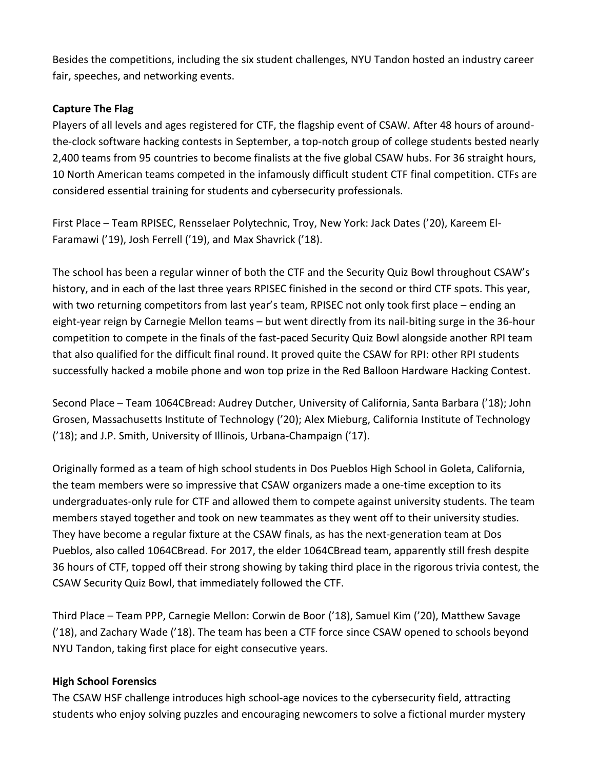Besides the competitions, including the six student challenges, NYU Tandon hosted an industry career fair, speeches, and networking events.

#### **Capture The Flag**

Players of all levels and ages registered for CTF, the flagship event of CSAW. After 48 hours of aroundthe-clock software hacking contests in September, a top-notch group of college students bested nearly 2,400 teams from 95 countries to become finalists at the five global CSAW hubs. For 36 straight hours, 10 North American teams competed in the infamously difficult student CTF final competition. CTFs are considered essential training for students and cybersecurity professionals.

First Place – Team RPISEC, Rensselaer Polytechnic, Troy, New York: Jack Dates ('20), Kareem El-Faramawi ('19), Josh Ferrell ('19), and Max Shavrick ('18).

The school has been a regular winner of both the CTF and the Security Quiz Bowl throughout CSAW's history, and in each of the last three years RPISEC finished in the second or third CTF spots. This year, with two returning competitors from last year's team, RPISEC not only took first place – ending an eight-year reign by Carnegie Mellon teams – but went directly from its nail-biting surge in the 36-hour competition to compete in the finals of the fast-paced Security Quiz Bowl alongside another RPI team that also qualified for the difficult final round. It proved quite the CSAW for RPI: other RPI students successfully hacked a mobile phone and won top prize in the Red Balloon Hardware Hacking Contest.

Second Place – Team 1064CBread: Audrey Dutcher, University of California, Santa Barbara ('18); John Grosen, Massachusetts Institute of Technology ('20); Alex Mieburg, California Institute of Technology ('18); and J.P. Smith, University of Illinois, Urbana-Champaign ('17).

Originally formed as a team of high school students in Dos Pueblos High School in Goleta, California, the team members were so impressive that CSAW organizers made a one-time exception to its undergraduates-only rule for CTF and allowed them to compete against university students. The team members stayed together and took on new teammates as they went off to their university studies. They have become a regular fixture at the CSAW finals, as has the next-generation team at Dos Pueblos, also called 1064CBread. For 2017, the elder 1064CBread team, apparently still fresh despite 36 hours of CTF, topped off their strong showing by taking third place in the rigorous trivia contest, the CSAW Security Quiz Bowl, that immediately followed the CTF.

Third Place – Team PPP, Carnegie Mellon: Corwin de Boor ('18), Samuel Kim ('20), Matthew Savage ('18), and Zachary Wade ('18). The team has been a CTF force since CSAW opened to schools beyond NYU Tandon, taking first place for eight consecutive years.

#### **High School Forensics**

The CSAW HSF challenge introduces high school-age novices to the cybersecurity field, attracting students who enjoy solving puzzles and encouraging newcomers to solve a fictional murder mystery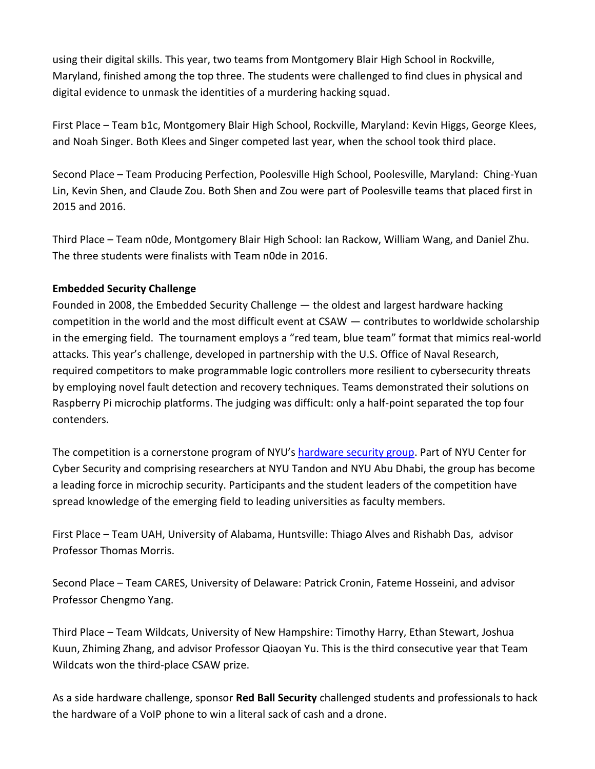using their digital skills. This year, two teams from Montgomery Blair High School in Rockville, Maryland, finished among the top three. The students were challenged to find clues in physical and digital evidence to unmask the identities of a murdering hacking squad.

First Place – Team b1c, Montgomery Blair High School, Rockville, Maryland: Kevin Higgs, George Klees, and Noah Singer. Both Klees and Singer competed last year, when the school took third place.

Second Place – Team Producing Perfection, Poolesville High School, Poolesville, Maryland: Ching-Yuan Lin, Kevin Shen, and Claude Zou. Both Shen and Zou were part of Poolesville teams that placed first in 2015 and 2016.

Third Place – Team n0de, Montgomery Blair High School: Ian Rackow, William Wang, and Daniel Zhu. The three students were finalists with Team n0de in 2016.

## **Embedded Security Challenge**

Founded in 2008, the Embedded Security Challenge — the oldest and largest hardware hacking competition in the world and the most difficult event at CSAW — contributes to worldwide scholarship in the emerging field. The tournament employs a "red team, blue team" format that mimics real-world attacks. This year's challenge, developed in partnership with the U.S. Office of Naval Research, required competitors to make programmable logic controllers more resilient to cybersecurity threats by employing novel fault detection and recovery techniques. Teams demonstrated their solutions on Raspberry Pi microchip platforms. The judging was difficult: only a half-point separated the top four contenders.

The competition is a cornerstone program of NYU's [hardware](http://engineering.nyu.edu/news/2016/10/11/cybersecurity-team-makes-nyu-tandon-crucible-microchip-security) security group. Part of NYU Center for Cyber Security and comprising researchers at NYU Tandon and NYU Abu Dhabi, the group has become a leading force in microchip security. Participants and the student leaders of the competition have spread knowledge of the emerging field to leading universities as faculty members.

First Place – Team UAH, University of Alabama, Huntsville: Thiago Alves and Rishabh Das, advisor Professor Thomas Morris.

Second Place – Team CARES, University of Delaware: Patrick Cronin, Fateme Hosseini, and advisor Professor Chengmo Yang.

Third Place – Team Wildcats, University of New Hampshire: Timothy Harry, Ethan Stewart, Joshua Kuun, Zhiming Zhang, and advisor Professor Qiaoyan Yu. This is the third consecutive year that Team Wildcats won the third-place CSAW prize.

As a side hardware challenge, sponsor **Red Ball Security** challenged students and professionals to hack the hardware of a VoIP phone to win a literal sack of cash and a drone.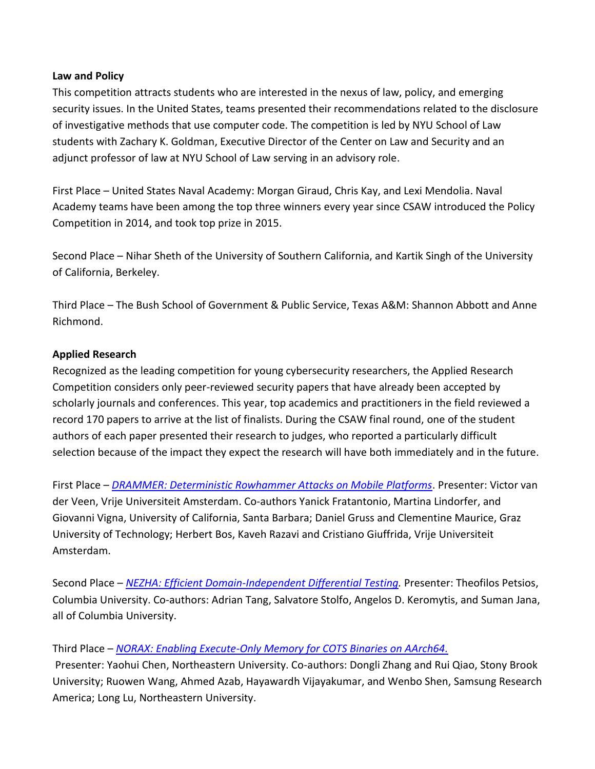#### **Law and Policy**

This competition attracts students who are interested in the nexus of law, policy, and emerging security issues. In the United States, teams presented their recommendations related to the disclosure of investigative methods that use computer code. The competition is led by NYU School of Law students with Zachary K. Goldman, Executive Director of the Center on Law and Security and an adjunct professor of law at NYU School of Law serving in an advisory role.

First Place – United States Naval Academy: Morgan Giraud, Chris Kay, and Lexi Mendolia. Naval Academy teams have been among the top three winners every year since CSAW introduced the Policy Competition in 2014, and took top prize in 2015.

Second Place – Nihar Sheth of the University of Southern California, and Kartik Singh of the University of California, Berkeley.

Third Place – The Bush School of Government & Public Service, Texas A&M: Shannon Abbott and Anne Richmond.

#### **Applied Research**

Recognized as the leading competition for young cybersecurity researchers, the Applied Research Competition considers only peer-reviewed security papers that have already been accepted by scholarly journals and conferences. This year, top academics and practitioners in the field reviewed a record 170 papers to arrive at the list of finalists. During the CSAW final round, one of the student authors of each paper presented their research to judges, who reported a particularly difficult selection because of the impact they expect the research will have both immediately and in the future.

First Place – *[DRAMMER: Deterministic Rowhammer Attacks on Mobile Platforms](https://www.researchgate.net/publication/309451531_Drammer_Deterministic_Rowhammer_Attacks_on_Mobile_Platforms)*. Presenter: Victor van der Veen, Vrije Universiteit Amsterdam. Co-authors Yanick Fratantonio, Martina Lindorfer, and Giovanni Vigna, University of California, Santa Barbara; Daniel Gruss and Clementine Maurice, Graz University of Technology; Herbert Bos, Kaveh Razavi and Cristiano Giuffrida, Vrije Universiteit Amsterdam.

Second Place – *[NEZHA: Efficient Domain-Independent Differential Testing.](http://ieeexplore.ieee.org/document/7958601/)* Presenter: Theofilos Petsios, Columbia University. Co-authors: Adrian Tang, Salvatore Stolfo, Angelos D. Keromytis, and Suman Jana, all of Columbia University.

## Third Place – *[NORAX: Enabling Execute-Only Memory for COTS Binaries on AArch64.](https://www.longlu.org/downloads/NORAX.pdf)*

Presenter: Yaohui Chen, Northeastern University. Co-authors: Dongli Zhang and Rui Qiao, Stony Brook University; Ruowen Wang, Ahmed Azab, Hayawardh Vijayakumar, and Wenbo Shen, Samsung Research America; Long Lu, Northeastern University.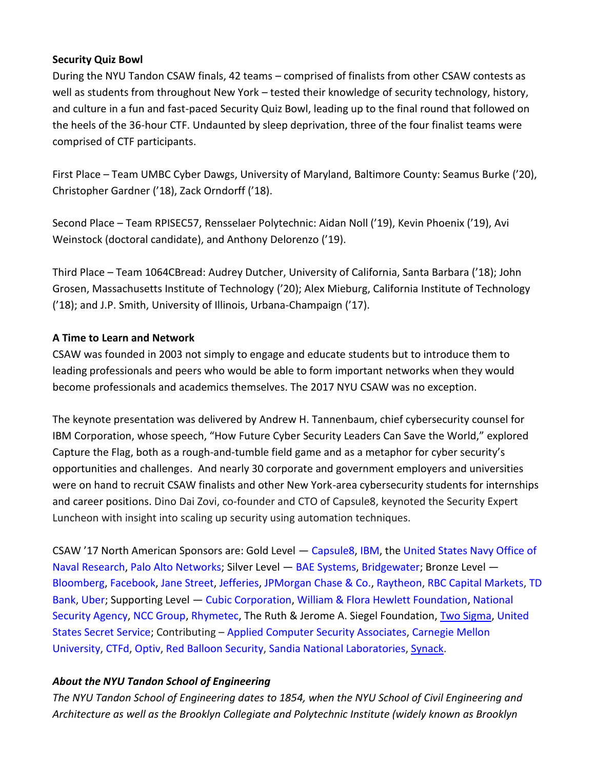#### **Security Quiz Bowl**

During the NYU Tandon CSAW finals, 42 teams – comprised of finalists from other CSAW contests as well as students from throughout New York – tested their knowledge of security technology, history, and culture in a fun and fast-paced Security Quiz Bowl, leading up to the final round that followed on the heels of the 36-hour CTF. Undaunted by sleep deprivation, three of the four finalist teams were comprised of CTF participants.

First Place – Team UMBC Cyber Dawgs, University of Maryland, Baltimore County: Seamus Burke ('20), Christopher Gardner ('18), Zack Orndorff ('18).

Second Place – Team RPISEC57, Rensselaer Polytechnic: Aidan Noll ('19), Kevin Phoenix ('19), Avi Weinstock (doctoral candidate), and Anthony Delorenzo ('19).

Third Place – Team 1064CBread: Audrey Dutcher, University of California, Santa Barbara ('18); John Grosen, Massachusetts Institute of Technology ('20); Alex Mieburg, California Institute of Technology ('18); and J.P. Smith, University of Illinois, Urbana-Champaign ('17).

#### **A Time to Learn and Network**

CSAW was founded in 2003 not simply to engage and educate students but to introduce them to leading professionals and peers who would be able to form important networks when they would become professionals and academics themselves. The 2017 NYU CSAW was no exception.

The keynote presentation was delivered by Andrew H. Tannenbaum, chief cybersecurity counsel for IBM Corporation, whose speech, "How Future Cyber Security Leaders Can Save the World," explored Capture the Flag, both as a rough-and-tumble field game and as a metaphor for cyber security's opportunities and challenges. And nearly 30 corporate and government employers and universities were on hand to recruit CSAW finalists and other New York-area cybersecurity students for internships and career positions. Dino Dai Zovi, co-founder and CTO of Capsule8, keynoted the Security Expert Luncheon with insight into scaling up security using automation techniques.

CSAW '17 North American Sponsors are: Gold Level — Capsule8, IBM, the United States Navy Office of Naval Research, Palo Alto Networks; Silver Level — BAE Systems, Bridgewater; Bronze Level — Bloomberg, Facebook, Jane Street, Jefferies, JPMorgan Chase & Co., Raytheon, RBC Capital Markets, TD Bank, Uber; Supporting Level — Cubic Corporation, William & Flora Hewlett Foundation, National Security Agency, NCC Group, Rhymetec, The Ruth & Jerome A. Siegel Foundation, [Two Sigma,](https://www.twosigma.com/) United States Secret Service; Contributing – Applied Computer Security Associates, Carnegie Mellon University, CTFd, Optiv, Red Balloon Security, Sandia National Laboratories, [Synack.](https://www.synack.com/company/)

## *About the NYU Tandon School of Engineering*

*The NYU Tandon School of Engineering dates to 1854, when the NYU School of Civil Engineering and Architecture as well as the Brooklyn Collegiate and Polytechnic Institute (widely known as Brooklyn*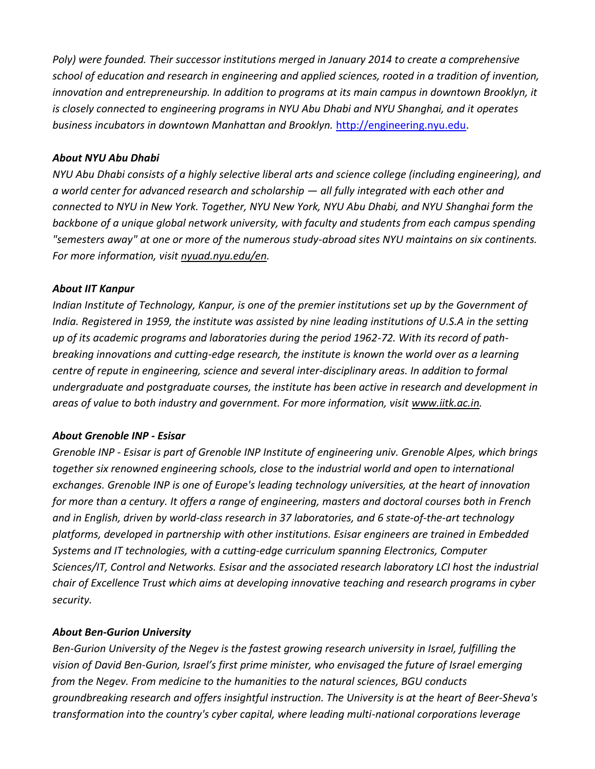*Poly) were founded. Their successor institutions merged in January 2014 to create a comprehensive school of education and research in engineering and applied sciences, rooted in a tradition of invention, innovation and entrepreneurship. In addition to programs at its main campus in downtown Brooklyn, it is closely connected to engineering programs in NYU Abu Dhabi and NYU Shanghai, and it operates business incubators in downtown Manhattan and Brooklyn.* [http://engineering.nyu.edu.](http://engineering.nyu.edu/)

#### *About NYU Abu Dhabi*

*NYU Abu Dhabi consists of a highly selective liberal arts and science college (including engineering), and a world center for advanced research and scholarship — all fully integrated with each other and connected to NYU in New York. Together, NYU New York, NYU Abu Dhabi, and NYU Shanghai form the backbone of a unique global network university, with faculty and students from each campus spending "semesters away" at one or more of the numerous study-abroad sites NYU maintains on six continents. For more information, visit [nyuad.nyu.edu/en.](http://nyuad.nyu.edu/en)*

#### *About IIT Kanpur*

*Indian Institute of Technology, Kanpur, is one of the premier institutions set up by the Government of India. Registered in 1959, the institute was assisted by nine leading institutions of U.S.A in the setting up of its academic programs and laboratories during the period 1962-72. With its record of pathbreaking innovations and cutting-edge research, the institute is known the world over as a learning centre of repute in engineering, science and several inter-disciplinary areas. In addition to formal undergraduate and postgraduate courses, the institute has been active in research and development in areas of value to both industry and government. For more information, visit [www.iitk.ac.in.](http://www.iitk.ac.in/)*

#### *About Grenoble INP - Esisar*

*Grenoble INP - Esisar is part of Grenoble INP Institute of engineering univ. Grenoble Alpes, which brings together six renowned engineering schools, close to the industrial world and open to international exchanges. Grenoble INP is one of Europe's leading technology universities, at the heart of innovation* for more than a century. It offers a range of engineering, masters and doctoral courses both in French *and in English, driven by world-class research in 37 laboratories, and 6 state-of-the-art technology platforms, developed in partnership with other institutions. Esisar engineers are trained in Embedded Systems and IT technologies, with a cutting-edge curriculum spanning Electronics, Computer Sciences/IT, Control and Networks. Esisar and the associated research laboratory LCI host the industrial chair of Excellence Trust which aims at developing innovative teaching and research programs in cyber security.*

#### *About Ben-Gurion University*

*Ben-Gurion University of the Negev is the fastest growing research university in Israel, fulfilling the vision of David Ben-Gurion, Israel's first prime minister, who envisaged the future of Israel emerging from the Negev. From medicine to the humanities to the natural sciences, BGU conducts groundbreaking research and offers insightful instruction. The University is at the heart of Beer-Sheva's transformation into the country's cyber capital, where leading multi-national corporations leverage*